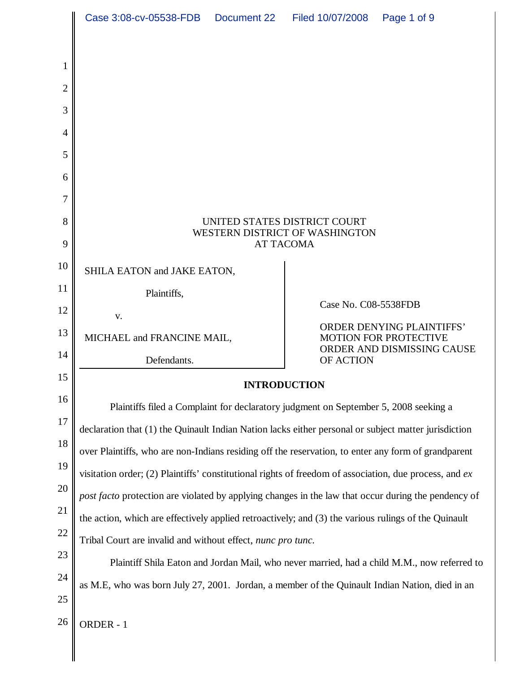|                | Case 3:08-cv-05538-FDB                                                                                                                                                                                        |  | Document 22 Filed 10/07/2008                                                                   | Page 1 of 9 |
|----------------|---------------------------------------------------------------------------------------------------------------------------------------------------------------------------------------------------------------|--|------------------------------------------------------------------------------------------------|-------------|
|                |                                                                                                                                                                                                               |  |                                                                                                |             |
| 1              |                                                                                                                                                                                                               |  |                                                                                                |             |
| 2              |                                                                                                                                                                                                               |  |                                                                                                |             |
| 3              |                                                                                                                                                                                                               |  |                                                                                                |             |
| $\overline{4}$ |                                                                                                                                                                                                               |  |                                                                                                |             |
| 5              |                                                                                                                                                                                                               |  |                                                                                                |             |
| 6              |                                                                                                                                                                                                               |  |                                                                                                |             |
| 7              |                                                                                                                                                                                                               |  |                                                                                                |             |
| 8              | UNITED STATES DISTRICT COURT<br>WESTERN DISTRICT OF WASHINGTON<br><b>AT TACOMA</b>                                                                                                                            |  |                                                                                                |             |
| 9              |                                                                                                                                                                                                               |  |                                                                                                |             |
| 10<br>11       | SHILA EATON and JAKE EATON,                                                                                                                                                                                   |  |                                                                                                |             |
| 12             | Plaintiffs,                                                                                                                                                                                                   |  | Case No. C08-5538FDB                                                                           |             |
| 13             | V.<br>MICHAEL and FRANCINE MAIL,                                                                                                                                                                              |  | <b>ORDER DENYING PLAINTIFFS'</b><br><b>MOTION FOR PROTECTIVE</b><br>ORDER AND DISMISSING CAUSE |             |
| 14             |                                                                                                                                                                                                               |  |                                                                                                |             |
| 15             | Defendants.<br>OF ACTION                                                                                                                                                                                      |  |                                                                                                |             |
| 16             | <b>INTRODUCTION</b>                                                                                                                                                                                           |  |                                                                                                |             |
| 17             | Plaintiffs filed a Complaint for declaratory judgment on September 5, 2008 seeking a                                                                                                                          |  |                                                                                                |             |
| 18             | declaration that (1) the Quinault Indian Nation lacks either personal or subject matter jurisdiction                                                                                                          |  |                                                                                                |             |
| 19             | over Plaintiffs, who are non-Indians residing off the reservation, to enter any form of grandparent                                                                                                           |  |                                                                                                |             |
| 20             | visitation order; (2) Plaintiffs' constitutional rights of freedom of association, due process, and ex<br>post facto protection are violated by applying changes in the law that occur during the pendency of |  |                                                                                                |             |
| 21             | the action, which are effectively applied retroactively; and (3) the various rulings of the Quinault                                                                                                          |  |                                                                                                |             |
| 22             | Tribal Court are invalid and without effect, nunc pro tunc.                                                                                                                                                   |  |                                                                                                |             |
| 23             | Plaintiff Shila Eaton and Jordan Mail, who never married, had a child M.M., now referred to                                                                                                                   |  |                                                                                                |             |
| 24             | as M.E, who was born July 27, 2001. Jordan, a member of the Quinault Indian Nation, died in an                                                                                                                |  |                                                                                                |             |
| 25             |                                                                                                                                                                                                               |  |                                                                                                |             |
| 26             | ORDER - 1                                                                                                                                                                                                     |  |                                                                                                |             |
|                |                                                                                                                                                                                                               |  |                                                                                                |             |
|                |                                                                                                                                                                                                               |  |                                                                                                |             |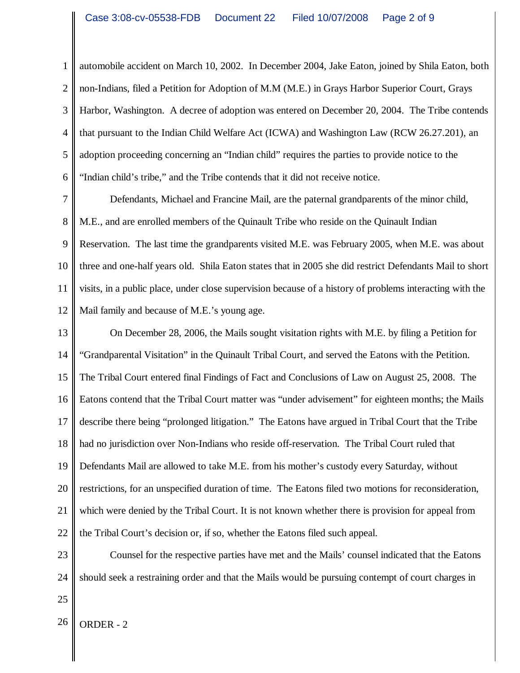1 2 3 4 5 6 automobile accident on March 10, 2002. In December 2004, Jake Eaton, joined by Shila Eaton, both non-Indians, filed a Petition for Adoption of M.M (M.E.) in Grays Harbor Superior Court, Grays Harbor, Washington. A decree of adoption was entered on December 20, 2004. The Tribe contends that pursuant to the Indian Child Welfare Act (ICWA) and Washington Law (RCW 26.27.201), an adoption proceeding concerning an "Indian child" requires the parties to provide notice to the "Indian child's tribe," and the Tribe contends that it did not receive notice.

7 8 9 10 11 12 Defendants, Michael and Francine Mail, are the paternal grandparents of the minor child, M.E., and are enrolled members of the Quinault Tribe who reside on the Quinault Indian Reservation. The last time the grandparents visited M.E. was February 2005, when M.E. was about three and one-half years old. Shila Eaton states that in 2005 she did restrict Defendants Mail to short visits, in a public place, under close supervision because of a history of problems interacting with the Mail family and because of M.E.'s young age.

13 14 15 16 17 18 19 20 21 22 On December 28, 2006, the Mails sought visitation rights with M.E. by filing a Petition for "Grandparental Visitation" in the Quinault Tribal Court, and served the Eatons with the Petition. The Tribal Court entered final Findings of Fact and Conclusions of Law on August 25, 2008. The Eatons contend that the Tribal Court matter was "under advisement" for eighteen months; the Mails describe there being "prolonged litigation." The Eatons have argued in Tribal Court that the Tribe had no jurisdiction over Non-Indians who reside off-reservation. The Tribal Court ruled that Defendants Mail are allowed to take M.E. from his mother's custody every Saturday, without restrictions, for an unspecified duration of time. The Eatons filed two motions for reconsideration, which were denied by the Tribal Court. It is not known whether there is provision for appeal from the Tribal Court's decision or, if so, whether the Eatons filed such appeal.

23 24 Counsel for the respective parties have met and the Mails' counsel indicated that the Eatons should seek a restraining order and that the Mails would be pursuing contempt of court charges in

25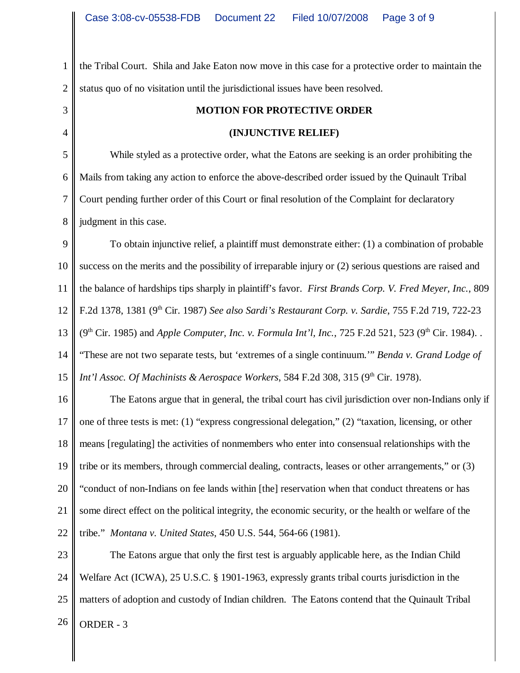1 2 the Tribal Court. Shila and Jake Eaton now move in this case for a protective order to maintain the status quo of no visitation until the jurisdictional issues have been resolved.

3 4

## **MOTION FOR PROTECTIVE ORDER**

## **(INJUNCTIVE RELIEF)**

5 6 7 8 While styled as a protective order, what the Eatons are seeking is an order prohibiting the Mails from taking any action to enforce the above-described order issued by the Quinault Tribal Court pending further order of this Court or final resolution of the Complaint for declaratory judgment in this case.

9 10 11 12 13 14 15 To obtain injunctive relief, a plaintiff must demonstrate either: (1) a combination of probable success on the merits and the possibility of irreparable injury or (2) serious questions are raised and the balance of hardships tips sharply in plaintiff's favor. *First Brands Corp. V. Fred Meyer, Inc.*, 809 F.2d 1378, 1381 (9th Cir. 1987) *See also Sardi's Restaurant Corp. v. Sardie*, 755 F.2d 719, 722-23 (9<sup>th</sup> Cir. 1985) and *Apple Computer, Inc. v. Formula Int'l, Inc.*, 725 F.2d 521, 523 (9<sup>th</sup> Cir. 1984). "These are not two separate tests, but 'extremes of a single continuum.'" *Benda v. Grand Lodge of Int'l Assoc. Of Machinists & Aerospace Workers*, 584 F.2d 308, 315 (9<sup>th</sup> Cir. 1978).

16 17 18 19 20 21 22 The Eatons argue that in general, the tribal court has civil jurisdiction over non-Indians only if one of three tests is met: (1) "express congressional delegation," (2) "taxation, licensing, or other means [regulating] the activities of nonmembers who enter into consensual relationships with the tribe or its members, through commercial dealing, contracts, leases or other arrangements," or (3) "conduct of non-Indians on fee lands within [the] reservation when that conduct threatens or has some direct effect on the political integrity, the economic security, or the health or welfare of the tribe." *Montana v. United States*, 450 U.S. 544, 564-66 (1981).

23 24 25  $26$  ORDER - 3 The Eatons argue that only the first test is arguably applicable here, as the Indian Child Welfare Act (ICWA), 25 U.S.C. § 1901-1963, expressly grants tribal courts jurisdiction in the matters of adoption and custody of Indian children. The Eatons contend that the Quinault Tribal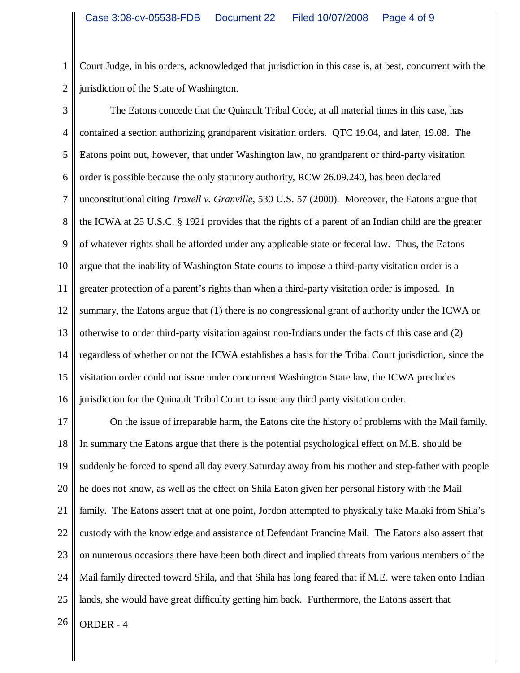1 2 Court Judge, in his orders, acknowledged that jurisdiction in this case is, at best, concurrent with the jurisdiction of the State of Washington.

3 4 5 6 7 8 9 10 11 12 13 14 15 16 The Eatons concede that the Quinault Tribal Code, at all material times in this case, has contained a section authorizing grandparent visitation orders. QTC 19.04, and later, 19.08. The Eatons point out, however, that under Washington law, no grandparent or third-party visitation order is possible because the only statutory authority, RCW 26.09.240, has been declared unconstitutional citing *Troxell v. Granville,* 530 U.S. 57 (2000)*.* Moreover, the Eatons argue that the ICWA at 25 U.S.C. § 1921 provides that the rights of a parent of an Indian child are the greater of whatever rights shall be afforded under any applicable state or federal law. Thus, the Eatons argue that the inability of Washington State courts to impose a third-party visitation order is a greater protection of a parent's rights than when a third-party visitation order is imposed. In summary, the Eatons argue that (1) there is no congressional grant of authority under the ICWA or otherwise to order third-party visitation against non-Indians under the facts of this case and (2) regardless of whether or not the ICWA establishes a basis for the Tribal Court jurisdiction, since the visitation order could not issue under concurrent Washington State law, the ICWA precludes jurisdiction for the Quinault Tribal Court to issue any third party visitation order.

17 18 19 20 21 22 23 24 25 On the issue of irreparable harm, the Eatons cite the history of problems with the Mail family. In summary the Eatons argue that there is the potential psychological effect on M.E. should be suddenly be forced to spend all day every Saturday away from his mother and step-father with people he does not know, as well as the effect on Shila Eaton given her personal history with the Mail family. The Eatons assert that at one point, Jordon attempted to physically take Malaki from Shila's custody with the knowledge and assistance of Defendant Francine Mail. The Eatons also assert that on numerous occasions there have been both direct and implied threats from various members of the Mail family directed toward Shila, and that Shila has long feared that if M.E. were taken onto Indian lands, she would have great difficulty getting him back. Furthermore, the Eatons assert that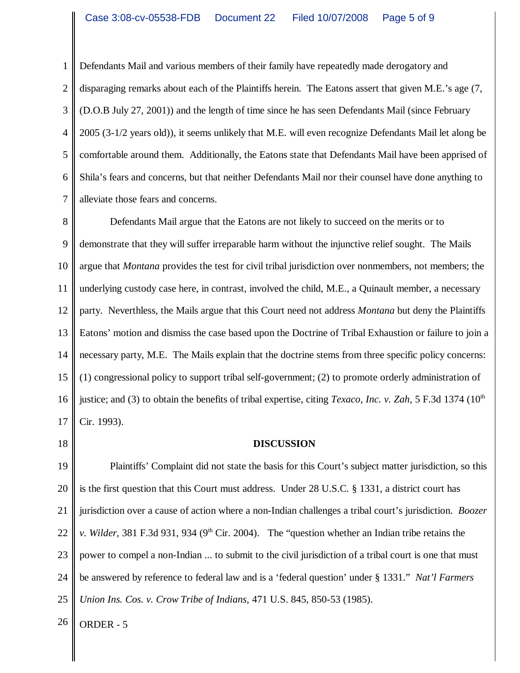1 2 3 4 5 6 7 Defendants Mail and various members of their family have repeatedly made derogatory and disparaging remarks about each of the Plaintiffs herein. The Eatons assert that given M.E.'s age (7, (D.O.B July 27, 2001)) and the length of time since he has seen Defendants Mail (since February 2005 (3-1/2 years old)), it seems unlikely that M.E. will even recognize Defendants Mail let along be comfortable around them. Additionally, the Eatons state that Defendants Mail have been apprised of Shila's fears and concerns, but that neither Defendants Mail nor their counsel have done anything to alleviate those fears and concerns.

8 9 10 11 12 13 14 15 16 17 Defendants Mail argue that the Eatons are not likely to succeed on the merits or to demonstrate that they will suffer irreparable harm without the injunctive relief sought. The Mails argue that *Montana* provides the test for civil tribal jurisdiction over nonmembers, not members; the underlying custody case here, in contrast, involved the child, M.E., a Quinault member, a necessary party. Neverthless, the Mails argue that this Court need not address *Montana* but deny the Plaintiffs Eatons' motion and dismiss the case based upon the Doctrine of Tribal Exhaustion or failure to join a necessary party, M.E. The Mails explain that the doctrine stems from three specific policy concerns: (1) congressional policy to support tribal self-government; (2) to promote orderly administration of justice; and (3) to obtain the benefits of tribal expertise, citing *Texaco, Inc. v. Zah*, 5 F.3d 1374 (10<sup>th</sup>) Cir. 1993).

18

## **DISCUSSION**

19 20 21 22 23 24 25 Plaintiffs' Complaint did not state the basis for this Court's subject matter jurisdiction, so this is the first question that this Court must address. Under 28 U.S.C. § 1331, a district court has jurisdiction over a cause of action where a non-Indian challenges a tribal court's jurisdiction. *Boozer v. Wilder*, 381 F.3d 931, 934 (9<sup>th</sup> Cir. 2004). The "question whether an Indian tribe retains the power to compel a non-Indian ... to submit to the civil jurisdiction of a tribal court is one that must be answered by reference to federal law and is a 'federal question' under § 1331." *Nat'l Farmers Union Ins. Cos. v. Crow Tribe of Indians*, 471 U.S. 845, 850-53 (1985).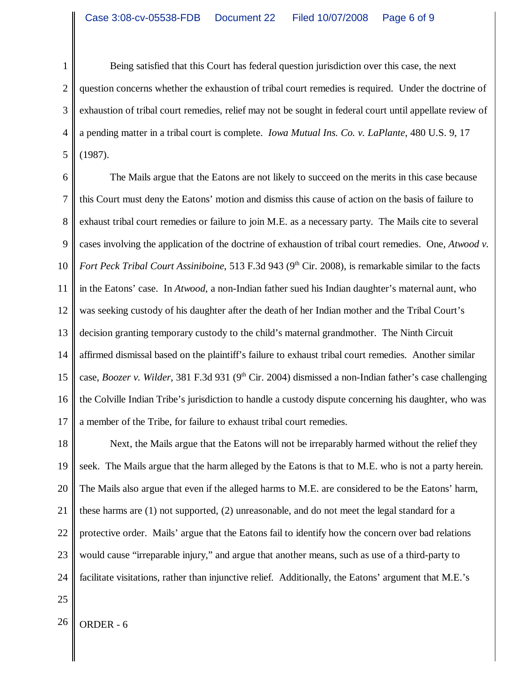1 2 3 4 5 Being satisfied that this Court has federal question jurisdiction over this case, the next question concerns whether the exhaustion of tribal court remedies is required. Under the doctrine of exhaustion of tribal court remedies, relief may not be sought in federal court until appellate review of a pending matter in a tribal court is complete. *Iowa Mutual Ins. Co. v. LaPlante*, 480 U.S. 9, 17 (1987).

6 7 8 9 10 11 12 13 14 15 16 17 The Mails argue that the Eatons are not likely to succeed on the merits in this case because this Court must deny the Eatons' motion and dismiss this cause of action on the basis of failure to exhaust tribal court remedies or failure to join M.E. as a necessary party. The Mails cite to several cases involving the application of the doctrine of exhaustion of tribal court remedies. One, *Atwood v. Fort Peck Tribal Court Assiniboine*, 513 F.3d 943 (9<sup>th</sup> Cir. 2008), is remarkable similar to the facts in the Eatons' case. In *Atwood*, a non-Indian father sued his Indian daughter's maternal aunt, who was seeking custody of his daughter after the death of her Indian mother and the Tribal Court's decision granting temporary custody to the child's maternal grandmother. The Ninth Circuit affirmed dismissal based on the plaintiff's failure to exhaust tribal court remedies. Another similar case, *Boozer v. Wilder*, 381 F.3d 931 (9<sup>th</sup> Cir. 2004) dismissed a non-Indian father's case challenging the Colville Indian Tribe's jurisdiction to handle a custody dispute concerning his daughter, who was a member of the Tribe, for failure to exhaust tribal court remedies.

18 19 20 21 22 23 24 Next, the Mails argue that the Eatons will not be irreparably harmed without the relief they seek. The Mails argue that the harm alleged by the Eatons is that to M.E. who is not a party herein. The Mails also argue that even if the alleged harms to M.E. are considered to be the Eatons' harm, these harms are (1) not supported, (2) unreasonable, and do not meet the legal standard for a protective order. Mails' argue that the Eatons fail to identify how the concern over bad relations would cause "irreparable injury," and argue that another means, such as use of a third-party to facilitate visitations, rather than injunctive relief. Additionally, the Eatons' argument that M.E.'s

25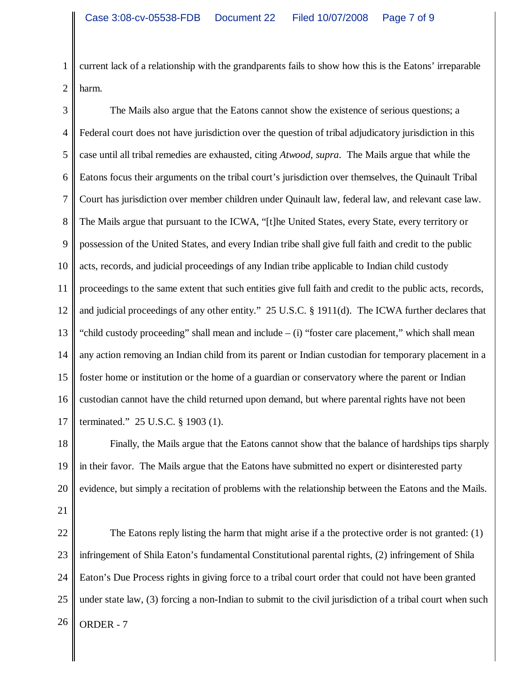1 2 current lack of a relationship with the grandparents fails to show how this is the Eatons' irreparable harm.

3 4 5 6 7 8 9 10 11 12 13 14 15 16 17 The Mails also argue that the Eatons cannot show the existence of serious questions; a Federal court does not have jurisdiction over the question of tribal adjudicatory jurisdiction in this case until all tribal remedies are exhausted, citing *Atwood, supra*. The Mails argue that while the Eatons focus their arguments on the tribal court's jurisdiction over themselves, the Quinault Tribal Court has jurisdiction over member children under Quinault law, federal law, and relevant case law. The Mails argue that pursuant to the ICWA, "[t]he United States, every State, every territory or possession of the United States, and every Indian tribe shall give full faith and credit to the public acts, records, and judicial proceedings of any Indian tribe applicable to Indian child custody proceedings to the same extent that such entities give full faith and credit to the public acts, records, and judicial proceedings of any other entity." 25 U.S.C. § 1911(d). The ICWA further declares that "child custody proceeding" shall mean and include – (i) "foster care placement," which shall mean any action removing an Indian child from its parent or Indian custodian for temporary placement in a foster home or institution or the home of a guardian or conservatory where the parent or Indian custodian cannot have the child returned upon demand, but where parental rights have not been terminated." 25 U.S.C. § 1903 (1).

18 19 20 Finally, the Mails argue that the Eatons cannot show that the balance of hardships tips sharply in their favor. The Mails argue that the Eatons have submitted no expert or disinterested party evidence, but simply a recitation of problems with the relationship between the Eatons and the Mails.

21

22 23 24 25  $26$  ORDER - 7 The Eatons reply listing the harm that might arise if a the protective order is not granted: (1) infringement of Shila Eaton's fundamental Constitutional parental rights, (2) infringement of Shila Eaton's Due Process rights in giving force to a tribal court order that could not have been granted under state law, (3) forcing a non-Indian to submit to the civil jurisdiction of a tribal court when such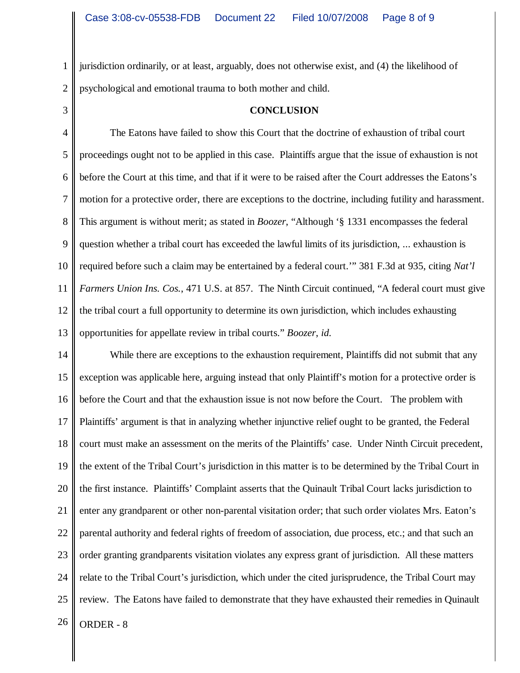1 2 jurisdiction ordinarily, or at least, arguably, does not otherwise exist, and (4) the likelihood of psychological and emotional trauma to both mother and child.

3

## **CONCLUSION**

4 5 6 7 8 9 10 11 12 13 The Eatons have failed to show this Court that the doctrine of exhaustion of tribal court proceedings ought not to be applied in this case. Plaintiffs argue that the issue of exhaustion is not before the Court at this time, and that if it were to be raised after the Court addresses the Eatons's motion for a protective order, there are exceptions to the doctrine, including futility and harassment. This argument is without merit; as stated in *Boozer*, "Although '§ 1331 encompasses the federal question whether a tribal court has exceeded the lawful limits of its jurisdiction, ... exhaustion is required before such a claim may be entertained by a federal court.'" 381 F.3d at 935, citing *Nat'l Farmers Union Ins. Cos.*, 471 U.S. at 857. The Ninth Circuit continued, "A federal court must give the tribal court a full opportunity to determine its own jurisdiction, which includes exhausting opportunities for appellate review in tribal courts." *Boozer*, *id.*

14 15 16 17 18 19 20 21 22 23 24 25  $26$  ORDER - 8 While there are exceptions to the exhaustion requirement, Plaintiffs did not submit that any exception was applicable here, arguing instead that only Plaintiff's motion for a protective order is before the Court and that the exhaustion issue is not now before the Court. The problem with Plaintiffs' argument is that in analyzing whether injunctive relief ought to be granted, the Federal court must make an assessment on the merits of the Plaintiffs' case. Under Ninth Circuit precedent, the extent of the Tribal Court's jurisdiction in this matter is to be determined by the Tribal Court in the first instance. Plaintiffs' Complaint asserts that the Quinault Tribal Court lacks jurisdiction to enter any grandparent or other non-parental visitation order; that such order violates Mrs. Eaton's parental authority and federal rights of freedom of association, due process, etc.; and that such an order granting grandparents visitation violates any express grant of jurisdiction. All these matters relate to the Tribal Court's jurisdiction, which under the cited jurisprudence, the Tribal Court may review. The Eatons have failed to demonstrate that they have exhausted their remedies in Quinault